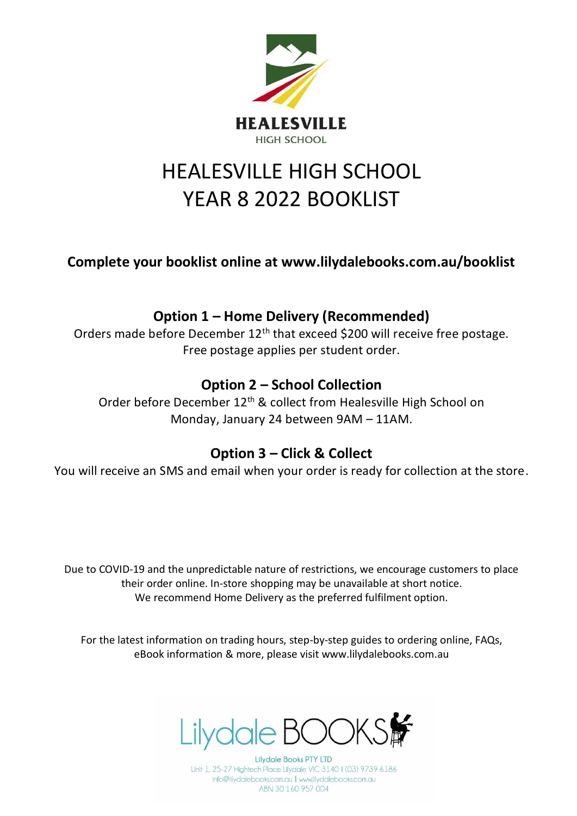

# HEALESVILLE HIGH SCHOOL YEAR 8 2022 BOOKLIST

**Complete your booklist online at www.lilydalebooks.com.au/booklist** 

## **Option 1 – Home Delivery (Recommended)**

Orders made before December 12<sup>th</sup> that exceed \$200 will receive free postage. Free postage applies per student order.

## **Option 2 – School Collection**

Order before December 12<sup>th</sup> & collect from Healesville High School on Monday, January 24 between 9AM – 11AM.

#### **Option 3 – Click & Collect**

You will receive an SMS and email when your order is ready for collection at the store.

Due to COVID-19 and the unpredictable nature of restrictions, we encourage customers to place their order online. In-store shopping may be unavailable at short notice. We recommend Home Delivery as the preferred fulfilment option.

For the latest information on trading hours, step-by-step guides to ordering online, FAQs, eBook information & more, please visit www.lilydalebooks.com.au



**Lilydale Books PTY LTD** Unit 1, 25-27 Hightech Place Lilydale VIC 3140 | (03) 9739 6186 info@lilydalebooks.com.au | www.lilydalebooks.com.au ABN 30 160 957 004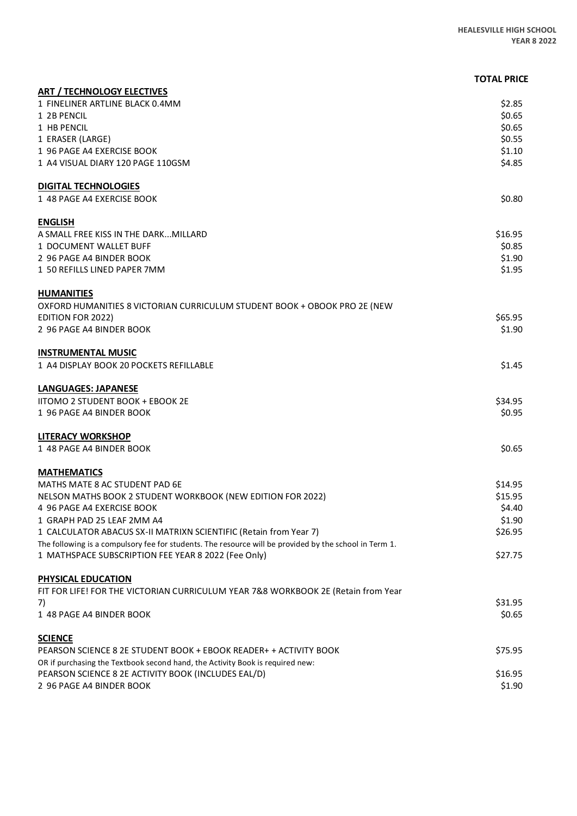|                                                                                                                                                               | <b>TOTAL PRICE</b> |
|---------------------------------------------------------------------------------------------------------------------------------------------------------------|--------------------|
| <b>ART / TECHNOLOGY ELECTIVES</b>                                                                                                                             |                    |
| 1 FINELINER ARTLINE BLACK 0.4MM<br>1 2B PENCIL                                                                                                                | \$2.85<br>\$0.65   |
| 1 HB PENCIL                                                                                                                                                   | \$0.65             |
| 1 ERASER (LARGE)                                                                                                                                              | \$0.55             |
| 1 96 PAGE A4 EXERCISE BOOK                                                                                                                                    | \$1.10             |
| 1 A4 VISUAL DIARY 120 PAGE 110GSM                                                                                                                             | \$4.85             |
| <b>DIGITAL TECHNOLOGIES</b>                                                                                                                                   |                    |
| 1 48 PAGE A4 EXERCISE BOOK                                                                                                                                    | \$0.80             |
| <b>ENGLISH</b>                                                                                                                                                |                    |
| A SMALL FREE KISS IN THE DARKMILLARD                                                                                                                          | \$16.95            |
| 1 DOCUMENT WALLET BUFF                                                                                                                                        | \$0.85             |
| 2 96 PAGE A4 BINDER BOOK                                                                                                                                      | \$1.90             |
| 1 50 REFILLS LINED PAPER 7MM                                                                                                                                  | \$1.95             |
| <b>HUMANITIES</b>                                                                                                                                             |                    |
| OXFORD HUMANITIES 8 VICTORIAN CURRICULUM STUDENT BOOK + OBOOK PRO 2E (NEW                                                                                     |                    |
| <b>EDITION FOR 2022)</b>                                                                                                                                      | \$65.95            |
| 2 96 PAGE A4 BINDER BOOK                                                                                                                                      | \$1.90             |
| <b>INSTRUMENTAL MUSIC</b>                                                                                                                                     |                    |
| 1 A4 DISPLAY BOOK 20 POCKETS REFILLABLE                                                                                                                       | \$1.45             |
| <b>LANGUAGES: JAPANESE</b>                                                                                                                                    |                    |
| <b>IITOMO 2 STUDENT BOOK + EBOOK 2E</b>                                                                                                                       | \$34.95            |
| 1 96 PAGE A4 BINDER BOOK                                                                                                                                      | \$0.95             |
| <b>LITERACY WORKSHOP</b>                                                                                                                                      |                    |
| 1 48 PAGE A4 BINDER BOOK                                                                                                                                      | \$0.65             |
| <b>MATHEMATICS</b>                                                                                                                                            |                    |
| MATHS MATE 8 AC STUDENT PAD 6E                                                                                                                                | \$14.95            |
| NELSON MATHS BOOK 2 STUDENT WORKBOOK (NEW EDITION FOR 2022)                                                                                                   | \$15.95            |
| 4 96 PAGE A4 EXERCISE BOOK                                                                                                                                    | \$4.40             |
| 1 GRAPH PAD 25 LEAF 2MM A4                                                                                                                                    | \$1.90             |
| 1 CALCULATOR ABACUS SX-II MATRIXN SCIENTIFIC (Retain from Year 7)                                                                                             | \$26.95            |
| The following is a compulsory fee for students. The resource will be provided by the school in Term 1.<br>1 MATHSPACE SUBSCRIPTION FEE YEAR 8 2022 (Fee Only) | \$27.75            |
|                                                                                                                                                               |                    |
| <b>PHYSICAL EDUCATION</b>                                                                                                                                     |                    |
| FIT FOR LIFE! FOR THE VICTORIAN CURRICULUM YEAR 7&8 WORKBOOK 2E (Retain from Year                                                                             | \$31.95            |
| 7)<br>1 48 PAGE A4 BINDER BOOK                                                                                                                                | \$0.65             |
|                                                                                                                                                               |                    |
| <b>SCIENCE</b><br>PEARSON SCIENCE 8 2E STUDENT BOOK + EBOOK READER+ + ACTIVITY BOOK                                                                           | \$75.95            |
| OR if purchasing the Textbook second hand, the Activity Book is required new:                                                                                 |                    |
| PEARSON SCIENCE 8 2E ACTIVITY BOOK (INCLUDES EAL/D)                                                                                                           | \$16.95            |
| 2 96 PAGE A4 BINDER BOOK                                                                                                                                      | \$1.90             |